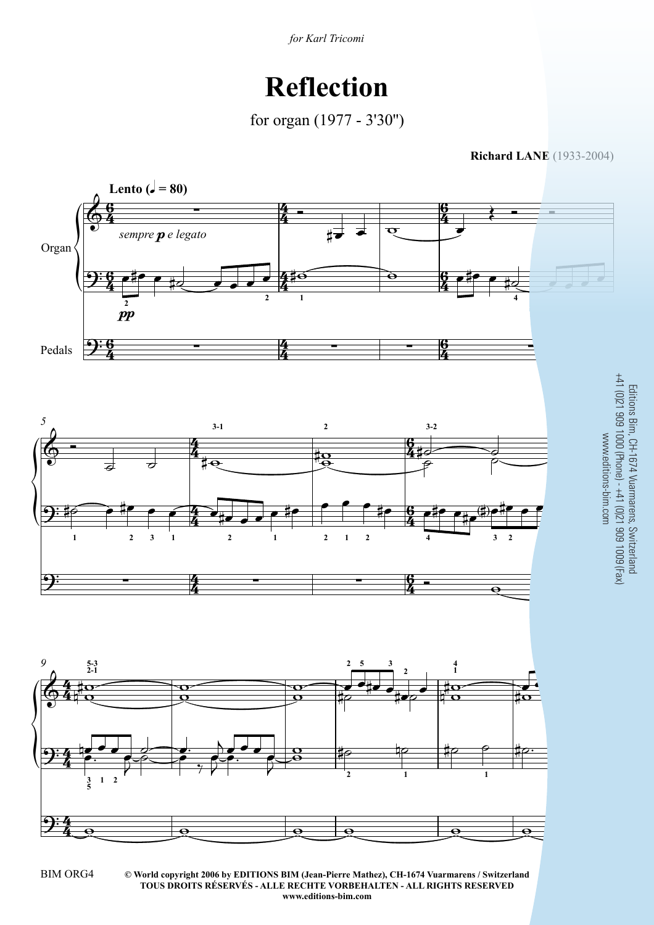*for Karl Tricomi*

## **Reflection**

for organ (1977 - 3'30'')

**Richard LANE** (1933-2004)

Editions Bim, CH-1674 Vuarmarens, Switzerland



**© World copyright 2006 by EDITIONS BIM (Jean-Pierre Mathez), CH-1674 Vuarmarens / Switzerland** BIM ORG4 3 **TOUS DROITS RÉSERVÉS - ALLE RECHTE VORBEHALTEN - ALL RIGHTS RESERVED www.editions-bim.com**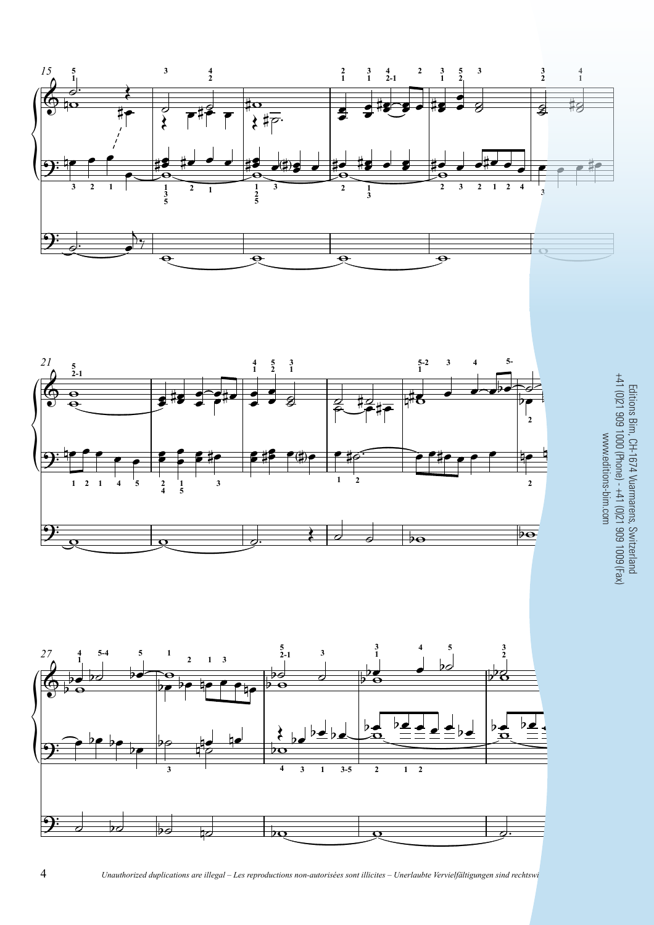





4 *Unauthorized duplications are illegal – Les reproductions non-autorisées sont illicites – Unerlaubte Vervielfältigungen sind rechtswidrig* BIM ORG4